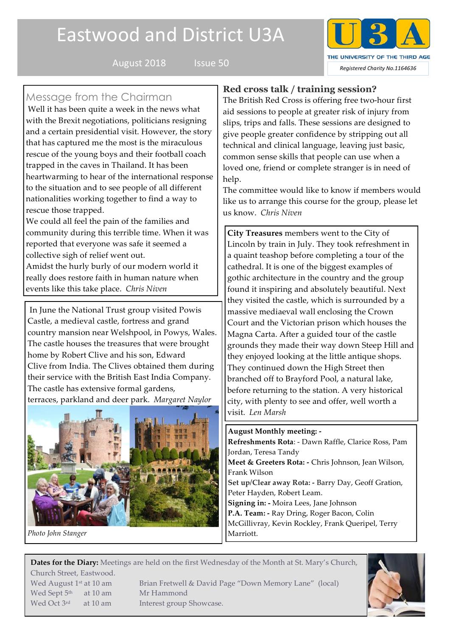# Eastwood and District U3A



# Message from the Chairman

Well it has been quite a week in the news what with the Brexit negotiations, politicians resigning and a certain presidential visit. However, the story that has captured me the most is the miraculous rescue of the young boys and their football coach trapped in the caves in Thailand. It has been heartwarming to hear of the international response to the situation and to see people of all different nationalities working together to find a way to rescue those trapped.

We could all feel the pain of the families and community during this terrible time. When it was reported that everyone was safe it seemed a collective sigh of relief went out. Amidst the hurly burly of our modern world it really does restore faith in human nature when events like this take place. *Chris Niven*

In June the National Trust group visited Powis Castle, a medieval castle, fortress and grand country mansion near Welshpool, in Powys, Wales. The castle houses the treasures that were brought home by Robert Clive and his son, Edward Clive from India. The Clives obtained them during their service with the British East India Company. The castle has extensive formal gardens, terraces, parkland and deer park. *Margaret Naylor*



*Photo John Stanger*

# **Red cross talk / training session?**

The British Red Cross is offering free two-hour first aid sessions to people at greater risk of injury from slips, trips and falls. These sessions are designed to give people greater confidence by stripping out all technical and clinical language, leaving just basic, common sense skills that people can use when a loved one, friend or complete stranger is in need of help.

The committee would like to know if members would like us to arrange this course for the group, please let us know. *Chris Niven*

**City Treasures** members went to the City of Lincoln by train in July. They took refreshment in a quaint teashop before completing a tour of the cathedral. It is one of the biggest examples of gothic architecture in the country and the group found it inspiring and absolutely beautiful. Next they visited the castle, which is surrounded by a massive mediaeval wall enclosing the Crown Court and the Victorian prison which houses the Magna Carta. After a guided tour of the castle grounds they made their way down Steep Hill and they enjoyed looking at the little antique shops. They continued down the High Street then branched off to Brayford Pool, a natural lake, before returning to the station. A very historical city, with plenty to see and offer, well worth a visit. *Len Marsh*

**August Monthly meeting: - Refreshments Rota**: - Dawn Raffle, Clarice Ross, Pam Jordan, Teresa Tandy **Meet & Greeters Rota: -** Chris Johnson, Jean Wilson, Frank Wilson **Set up/Clear away Rota: -** Barry Day, Geoff Gration, Peter Hayden, Robert Leam. **Signing in: -** Moira Lees, Jane Johnson **P.A. Team: -** Ray Dring, Roger Bacon, Colin McGillivray, Kevin Rockley, Frank Queripel, Terry Marriott.

**Dates for the Diary:** Meetings are held on the first Wednesday of the Month at St. Mary's Church, Church Street, Eastwood.

Wed Sept 5<sup>th</sup> at 10 am Mr Hammond Wed Oct 3<sup>rd</sup> at 10 am Interest group Showcase.

Wed August 1<sup>st</sup> at 10 am Brian Fretwell & David Page "Down Memory Lane" (local)